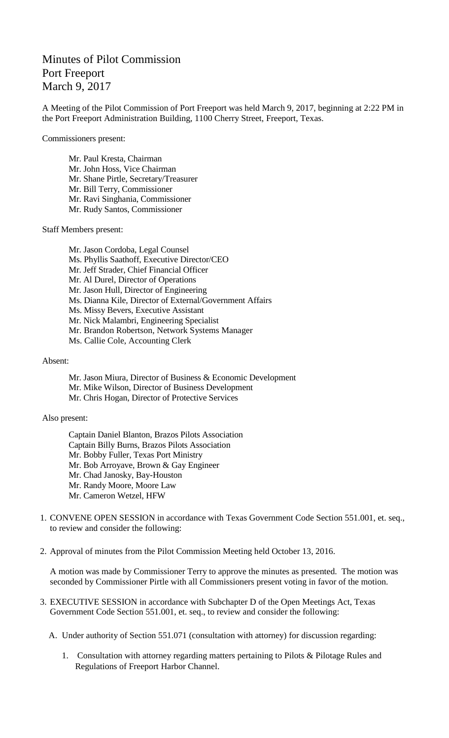## Minutes of Pilot Commission Port Freeport March 9, 2017

A Meeting of the Pilot Commission of Port Freeport was held March 9, 2017, beginning at 2:22 PM in the Port Freeport Administration Building, 1100 Cherry Street, Freeport, Texas.

Commissioners present:

Mr. Paul Kresta, Chairman Mr. John Hoss, Vice Chairman Mr. Shane Pirtle, Secretary/Treasurer Mr. Bill Terry, Commissioner Mr. Ravi Singhania, Commissioner Mr. Rudy Santos, Commissioner

Staff Members present:

Mr. Jason Cordoba, Legal Counsel Ms. Phyllis Saathoff, Executive Director/CEO Mr. Jeff Strader, Chief Financial Officer Mr. Al Durel, Director of Operations Mr. Jason Hull, Director of Engineering Ms. Dianna Kile, Director of External/Government Affairs Ms. Missy Bevers, Executive Assistant Mr. Nick Malambri, Engineering Specialist Mr. Brandon Robertson, Network Systems Manager Ms. Callie Cole, Accounting Clerk

Absent:

Mr. Jason Miura, Director of Business & Economic Development Mr. Mike Wilson, Director of Business Development Mr. Chris Hogan, Director of Protective Services

Also present:

Captain Daniel Blanton, Brazos Pilots Association Captain Billy Burns, Brazos Pilots Association Mr. Bobby Fuller, Texas Port Ministry Mr. Bob Arroyave, Brown & Gay Engineer Mr. Chad Janosky, Bay-Houston Mr. Randy Moore, Moore Law Mr. Cameron Wetzel, HFW

- 1. CONVENE OPEN SESSION in accordance with Texas Government Code Section 551.001, et. seq., to review and consider the following:
- 2. Approval of minutes from the Pilot Commission Meeting held October 13, 2016.

A motion was made by Commissioner Terry to approve the minutes as presented. The motion was seconded by Commissioner Pirtle with all Commissioners present voting in favor of the motion.

- 3. EXECUTIVE SESSION in accordance with Subchapter D of the Open Meetings Act, Texas Government Code Section 551.001, et. seq., to review and consider the following:
	- A. Under authority of Section 551.071 (consultation with attorney) for discussion regarding:
		- 1. Consultation with attorney regarding matters pertaining to Pilots & Pilotage Rules and Regulations of Freeport Harbor Channel.